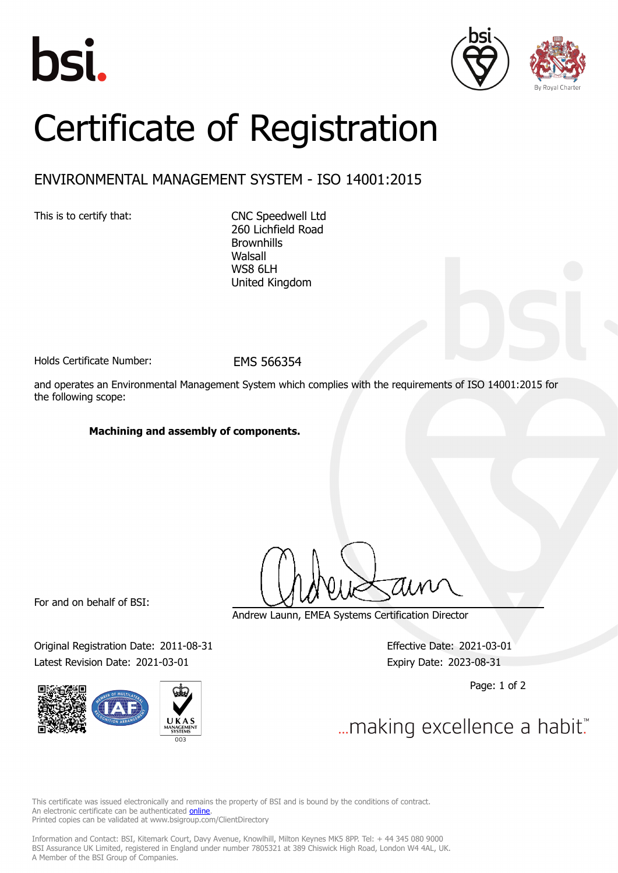





## Certificate of Registration

## ENVIRONMENTAL MANAGEMENT SYSTEM - ISO 14001:2015

This is to certify that: CNC Speedwell Ltd

260 Lichfield Road **Brownhills Walsall** WS8 6LH United Kingdom

Holds Certificate Number: FMS 566354

and operates an Environmental Management System which complies with the requirements of ISO 14001:2015 for the following scope:

## **Machining and assembly of components.**

For and on behalf of BSI:

Original Registration Date: 2011-08-31 Effective Date: 2021-03-01 Latest Revision Date: 2021-03-01 **Expiry Date: 2023-08-31** 



Andrew Launn, EMEA Systems Certification Director

Page: 1 of 2

... making excellence a habit."

This certificate was issued electronically and remains the property of BSI and is bound by the conditions of contract. An electronic certificate can be authenticated **[online](https://pgplus.bsigroup.com/CertificateValidation/CertificateValidator.aspx?CertificateNumber=EMS+566354&ReIssueDate=01%2f03%2f2021&Template=uk)**. Printed copies can be validated at www.bsigroup.com/ClientDirectory

Information and Contact: BSI, Kitemark Court, Davy Avenue, Knowlhill, Milton Keynes MK5 8PP. Tel: + 44 345 080 9000 BSI Assurance UK Limited, registered in England under number 7805321 at 389 Chiswick High Road, London W4 4AL, UK. A Member of the BSI Group of Companies.